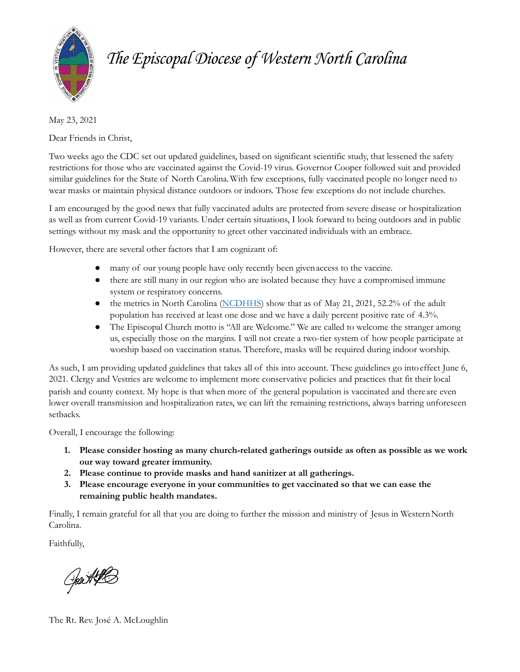

# *The Episcopal Diocese of Western North Carolina*

May 23, 2021

Dear Friends in Christ,

Two weeks ago the CDC set out updated guidelines, based on significant scientific study, that lessened the safety restrictions for those who are vaccinated against the Covid-19 virus. Governor Cooper followed suit and provided similar guidelines for the State of North Carolina.With few exceptions, fully vaccinated people no longer need to wear masks or maintain physical distance outdoors or indoors. Those few exceptions do not include churches.

I am encouraged by the good news that fully vaccinated adults are protected from severe disease or hospitalization as well as from current Covid-19 variants. Under certain situations, I look forward to being outdoors and in public settings without my mask and the opportunity to greet other vaccinated individuals with an embrace.

However, there are several other factors that I am cognizant of:

- many of our young people have only recently been givenaccess to the vaccine.
- there are still many in our region who are isolated because they have a compromised immune system or respiratory concerns.
- the metrics in North Carolina ([NCDHHS\)](https://covid19.ncdhhs.gov/) show that as of May 21, 2021, 52.2% of the adult population has received at least one dose and we have a daily percent positive rate of 4.3%.
- The Episcopal Church motto is "All are Welcome." We are called to welcome the stranger among us, especially those on the margins. I will not create a two-tier system of how people participate at worship based on vaccination status. Therefore, masks will be required during indoor worship.

As such, I am providing updated guidelines that takes all of this into account. These guidelines go intoeffect June 6, 2021. Clergy and Vestries are welcome to implement more conservative policies and practices that fit their local parish and county context. My hope is that when more of the general population is vaccinated and there are even lower overall transmission and hospitalization rates, we can lift the remaining restrictions, always barring unforeseen setbacks.

Overall, I encourage the following:

- **1. Please consider hosting as many church-related gatherings outside as often as possible as we work our way toward greater immunity.**
- **2. Please continue to provide masks and hand sanitizer at all gatherings.**
- **3. Please encourage everyone in your communities to get vaccinated so that we can ease the remaining public health mandates.**

Finally, I remain grateful for all that you are doing to further the mission and ministry of Jesus in WesternNorth Carolina.

Faithfully,

Heart Pt

The Rt. Rev. José A. McLoughlin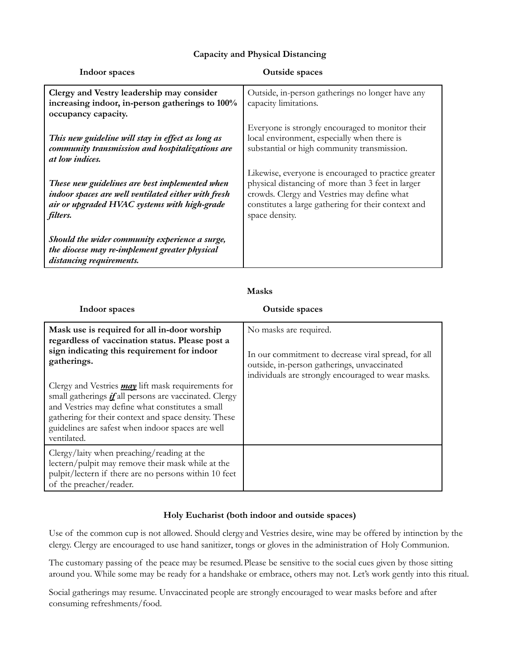### **Capacity and Physical Distancing**

| Indoor spaces                                                                                                                                                            | <b>Outside spaces</b>                                                                                                                                                                                                             |
|--------------------------------------------------------------------------------------------------------------------------------------------------------------------------|-----------------------------------------------------------------------------------------------------------------------------------------------------------------------------------------------------------------------------------|
| Clergy and Vestry leadership may consider<br>increasing indoor, in-person gatherings to 100%<br>occupancy capacity.                                                      | Outside, in-person gatherings no longer have any<br>capacity limitations.                                                                                                                                                         |
| This new guideline will stay in effect as long as<br>community transmission and hospitalizations are<br><i>at low indices.</i>                                           | Everyone is strongly encouraged to monitor their<br>local environment, especially when there is<br>substantial or high community transmission.                                                                                    |
| These new guidelines are best implemented when<br>indoor spaces are well ventilated either with fresh<br>air or upgraded HVAC systems with high-grade<br><i>filters.</i> | Likewise, everyone is encouraged to practice greater<br>physical distancing of more than 3 feet in larger<br>crowds. Clergy and Vestries may define what<br>constitutes a large gathering for their context and<br>space density. |
| Should the wider community experience a surge,<br>the diocese may re-implement greater physical<br>distancing requirements.                                              |                                                                                                                                                                                                                                   |

#### **Masks**

| Indoor spaces                                                                                                                                                                                                                                                                                              | <b>Outside spaces</b>                                                                                                                                                              |
|------------------------------------------------------------------------------------------------------------------------------------------------------------------------------------------------------------------------------------------------------------------------------------------------------------|------------------------------------------------------------------------------------------------------------------------------------------------------------------------------------|
| Mask use is required for all in-door worship<br>regardless of vaccination status. Please post a<br>sign indicating this requirement for indoor<br>gatherings.                                                                                                                                              | No masks are required.<br>In our commitment to decrease viral spread, for all<br>outside, in-person gatherings, unvaccinated<br>individuals are strongly encouraged to wear masks. |
| Clergy and Vestries <i>may</i> lift mask requirements for<br>small gatherings <i>if</i> all persons are vaccinated. Clergy<br>and Vestries may define what constitutes a small<br>gathering for their context and space density. These<br>guidelines are safest when indoor spaces are well<br>ventilated. |                                                                                                                                                                                    |
| Clergy/laity when preaching/reading at the<br>lectern/pulpit may remove their mask while at the<br>pulpit/lectern if there are no persons within 10 feet<br>of the preacher/reader.                                                                                                                        |                                                                                                                                                                                    |

#### **Holy Eucharist (both indoor and outside spaces)**

Use of the common cup is not allowed. Should clergy and Vestries desire, wine may be offered by intinction by the clergy. Clergy are encouraged to use hand sanitizer, tongs or gloves in the administration of Holy Communion.

The customary passing of the peace may be resumed.Please be sensitive to the social cues given by those sitting around you. While some may be ready for a handshake or embrace, others may not. Let's work gently into this ritual.

Social gatherings may resume. Unvaccinated people are strongly encouraged to wear masks before and after consuming refreshments/food.